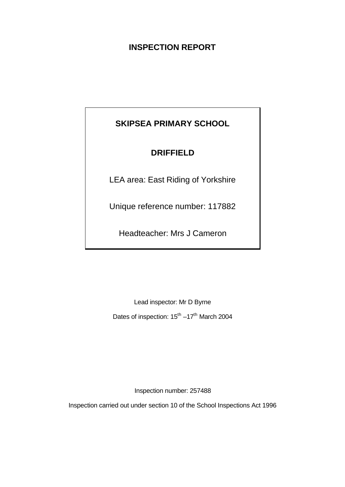## **INSPECTION REPORT**

# **SKIPSEA PRIMARY SCHOOL**

## **DRIFFIELD**

LEA area: East Riding of Yorkshire

Unique reference number: 117882

Headteacher: Mrs J Cameron

Lead inspector: Mr D Byrne

Dates of inspection: 15<sup>th</sup> –17<sup>th</sup> March 2004

Inspection number: 257488

Inspection carried out under section 10 of the School Inspections Act 1996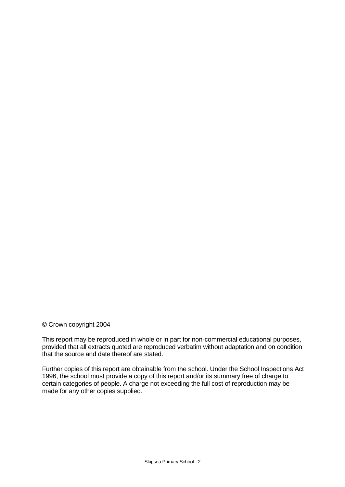### © Crown copyright 2004

This report may be reproduced in whole or in part for non-commercial educational purposes, provided that all extracts quoted are reproduced verbatim without adaptation and on condition that the source and date thereof are stated.

Further copies of this report are obtainable from the school. Under the School Inspections Act 1996, the school must provide a copy of this report and/or its summary free of charge to certain categories of people. A charge not exceeding the full cost of reproduction may be made for any other copies supplied.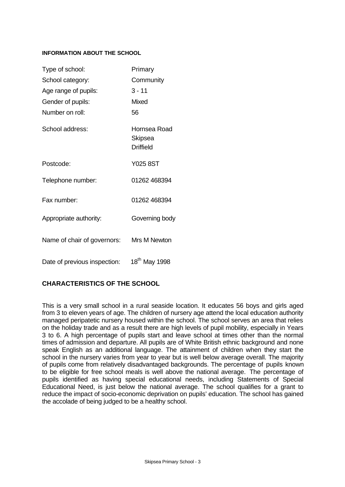## **INFORMATION ABOUT THE SCHOOL**

| Type of school:              | Primary                                     |
|------------------------------|---------------------------------------------|
| School category:             | Community                                   |
| Age range of pupils:         | $3 - 11$                                    |
| Gender of pupils:            | <b>Mixed</b>                                |
| Number on roll:              | 56                                          |
| School address:              | Hornsea Road<br>Skipsea<br><b>Driffield</b> |
| Postcode:                    | <b>Y025 8ST</b>                             |
| Telephone number:            | 01262 468394                                |
| Fax number:                  | 01262 468394                                |
| Appropriate authority:       | Governing body                              |
| Name of chair of governors:  | Mrs M Newton                                |
| Date of previous inspection: | 18 <sup>th</sup> May 1998                   |

## **CHARACTERISTICS OF THE SCHOOL**

This is a very small school in a rural seaside location. It educates 56 boys and girls aged from 3 to eleven years of age. The children of nursery age attend the local education authority managed peripatetic nursery housed within the school. The school serves an area that relies on the holiday trade and as a result there are high levels of pupil mobility, especially in Years 3 to 6. A high percentage of pupils start and leave school at times other than the normal times of admission and departure. All pupils are of White British ethnic background and none speak English as an additional language. The attainment of children when they start the school in the nursery varies from year to year but is well below average overall. The majority of pupils come from relatively disadvantaged backgrounds. The percentage of pupils known to be eligible for free school meals is well above the national average. The percentage of pupils identified as having special educational needs, including Statements of Special Educational Need, is just below the national average. The school qualifies for a grant to reduce the impact of socio-economic deprivation on pupils' education. The school has gained the accolade of being judged to be a healthy school.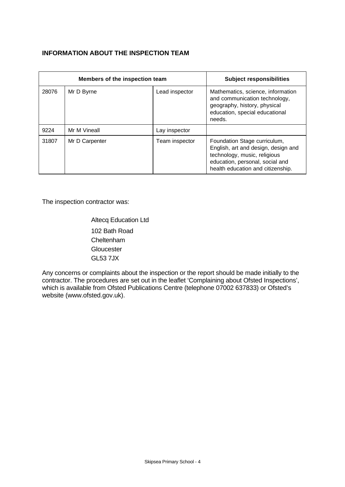## **INFORMATION ABOUT THE INSPECTION TEAM**

| Members of the inspection team |                |                | <b>Subject responsibilities</b>                                                                                                                                             |
|--------------------------------|----------------|----------------|-----------------------------------------------------------------------------------------------------------------------------------------------------------------------------|
| 28076                          | Mr D Byrne     | Lead inspector | Mathematics, science, information<br>and communication technology,<br>geography, history, physical<br>education, special educational<br>needs.                              |
| 9224                           | Mr M Vineall   | Lay inspector  |                                                                                                                                                                             |
| 31807                          | Mr D Carpenter | Team inspector | Foundation Stage curriculum,<br>English, art and design, design and<br>technology, music, religious<br>education, personal, social and<br>health education and citizenship. |

The inspection contractor was:

Altecq Education Ltd 102 Bath Road Cheltenham **Gloucester** GL53 7JX

Any concerns or complaints about the inspection or the report should be made initially to the contractor. The procedures are set out in the leaflet 'Complaining about Ofsted Inspections', which is available from Ofsted Publications Centre (telephone 07002 637833) or Ofsted's website (www.ofsted.gov.uk).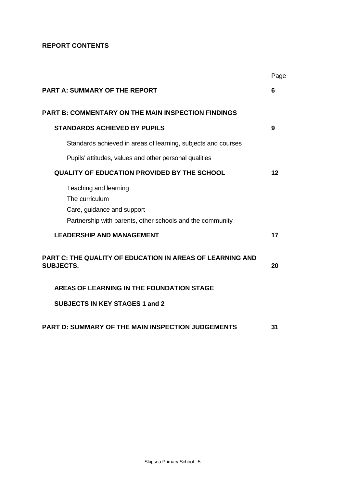## **REPORT CONTENTS**

|                                                                                                                                    | Page |
|------------------------------------------------------------------------------------------------------------------------------------|------|
| <b>PART A: SUMMARY OF THE REPORT</b>                                                                                               | 6    |
| <b>PART B: COMMENTARY ON THE MAIN INSPECTION FINDINGS</b>                                                                          |      |
| <b>STANDARDS ACHIEVED BY PUPILS</b>                                                                                                | 9    |
| Standards achieved in areas of learning, subjects and courses                                                                      |      |
| Pupils' attitudes, values and other personal qualities                                                                             |      |
| <b>QUALITY OF EDUCATION PROVIDED BY THE SCHOOL</b>                                                                                 | 12   |
| Teaching and learning<br>The curriculum<br>Care, guidance and support<br>Partnership with parents, other schools and the community |      |
| <b>LEADERSHIP AND MANAGEMENT</b>                                                                                                   | 17   |
| <b>PART C: THE QUALITY OF EDUCATION IN AREAS OF LEARNING AND</b><br><b>SUBJECTS.</b>                                               | 20   |
| AREAS OF LEARNING IN THE FOUNDATION STAGE                                                                                          |      |
| <b>SUBJECTS IN KEY STAGES 1 and 2</b>                                                                                              |      |
| <b>PART D: SUMMARY OF THE MAIN INSPECTION JUDGEMENTS</b>                                                                           | 31   |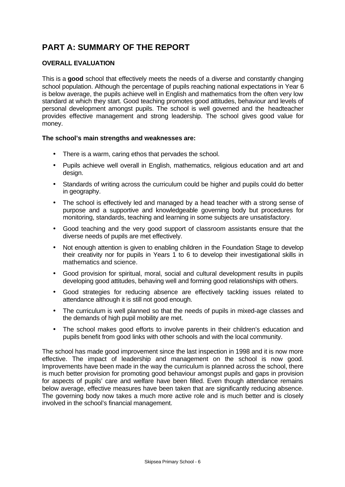# **PART A: SUMMARY OF THE REPORT**

## **OVERALL EVALUATION**

This is a **good** school that effectively meets the needs of a diverse and constantly changing school population. Although the percentage of pupils reaching national expectations in Year 6 is below average, the pupils achieve well in English and mathematics from the often very low standard at which they start. Good teaching promotes good attitudes, behaviour and levels of personal development amongst pupils. The school is well governed and the headteacher provides effective management and strong leadership. The school gives good value for money.

## **The school's main strengths and weaknesses are:**

- There is a warm, caring ethos that pervades the school.
- Pupils achieve well overall in English, mathematics, religious education and art and design.
- Standards of writing across the curriculum could be higher and pupils could do better in geography.
- The school is effectively led and managed by a head teacher with a strong sense of purpose and a supportive and knowledgeable governing body but procedures for monitoring, standards, teaching and learning in some subjects are unsatisfactory.
- Good teaching and the very good support of classroom assistants ensure that the diverse needs of pupils are met effectively.
- Not enough attention is given to enabling children in the Foundation Stage to develop their creativity nor for pupils in Years 1 to 6 to develop their investigational skills in mathematics and science.
- Good provision for spiritual, moral, social and cultural development results in pupils developing good attitudes, behaving well and forming good relationships with others.
- Good strategies for reducing absence are effectively tackling issues related to attendance although it is still not good enough.
- The curriculum is well planned so that the needs of pupils in mixed-age classes and the demands of high pupil mobility are met.
- The school makes good efforts to involve parents in their children's education and pupils benefit from good links with other schools and with the local community.

The school has made good improvement since the last inspection in 1998 and it is now more effective. The impact of leadership and management on the school is now good. Improvements have been made in the way the curriculum is planned across the school, there is much better provision for promoting good behaviour amongst pupils and gaps in provision for aspects of pupils' care and welfare have been filled. Even though attendance remains below average, effective measures have been taken that are significantly reducing absence. The governing body now takes a much more active role and is much better and is closely involved in the school's financial management.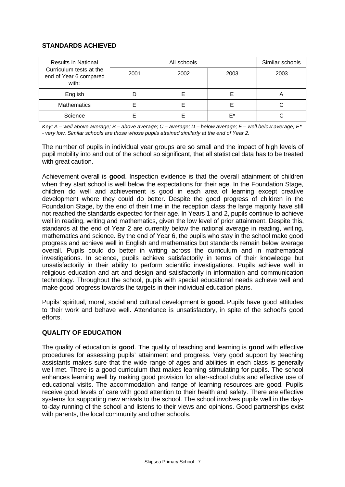## **STANDARDS ACHIEVED**

| <b>Results in National</b>                                 |      | Similar schools |      |      |
|------------------------------------------------------------|------|-----------------|------|------|
| Curriculum tests at the<br>end of Year 6 compared<br>with: | 2001 | 2002            | 2003 | 2003 |
| English                                                    |      |                 |      | n    |
| <b>Mathematics</b>                                         |      |                 |      | С    |
| Science                                                    |      |                 | F*   |      |

*Key: A – well above average; B – above average; C – average; D – below average; E – well below average; E\* - very low. Similar schools are those whose pupils attained similarly at the end of Year 2.*

The number of pupils in individual year groups are so small and the impact of high levels of pupil mobility into and out of the school so significant, that all statistical data has to be treated with great caution.

Achievement overall is **good**. Inspection evidence is that the overall attainment of children when they start school is well below the expectations for their age. In the Foundation Stage, children do well and achievement is good in each area of learning except creative development where they could do better. Despite the good progress of children in the Foundation Stage, by the end of their time in the reception class the large majority have still not reached the standards expected for their age. In Years 1 and 2, pupils continue to achieve well in reading, writing and mathematics, given the low level of prior attainment. Despite this, standards at the end of Year 2 are currently below the national average in reading, writing, mathematics and science. By the end of Year 6, the pupils who stay in the school make good progress and achieve well in English and mathematics but standards remain below average overall. Pupils could do better in writing across the curriculum and in mathematical investigations. In science, pupils achieve satisfactorily in terms of their knowledge but unsatisfactorily in their ability to perform scientific investigations. Pupils achieve well in religious education and art and design and satisfactorily in information and communication technology. Throughout the school, pupils with special educational needs achieve well and make good progress towards the targets in their individual education plans.

Pupils' spiritual, moral, social and cultural development is **good.** Pupils have good attitudes to their work and behave well. Attendance is unsatisfactory, in spite of the school's good efforts.

## **QUALITY OF EDUCATION**

The quality of education is **good**. The quality of teaching and learning is **good** with effective procedures for assessing pupils' attainment and progress. Very good support by teaching assistants makes sure that the wide range of ages and abilities in each class is generally well met. There is a good curriculum that makes learning stimulating for pupils. The school enhances learning well by making good provision for after-school clubs and effective use of educational visits. The accommodation and range of learning resources are good. Pupils receive good levels of care with good attention to their health and safety. There are effective systems for supporting new arrivals to the school. The school involves pupils well in the dayto-day running of the school and listens to their views and opinions. Good partnerships exist with parents, the local community and other schools.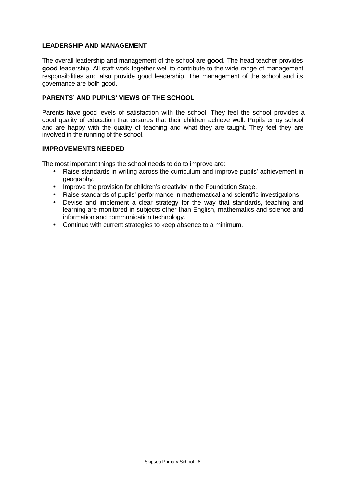## **LEADERSHIP AND MANAGEMENT**

The overall leadership and management of the school are **good.** The head teacher provides **good** leadership. All staff work together well to contribute to the wide range of management responsibilities and also provide good leadership. The management of the school and its governance are both good.

## **PARENTS' AND PUPILS' VIEWS OF THE SCHOOL**

Parents have good levels of satisfaction with the school. They feel the school provides a good quality of education that ensures that their children achieve well. Pupils enjoy school and are happy with the quality of teaching and what they are taught. They feel they are involved in the running of the school.

## **IMPROVEMENTS NEEDED**

The most important things the school needs to do to improve are:

- Raise standards in writing across the curriculum and improve pupils' achievement in geography.
- Improve the provision for children's creativity in the Foundation Stage.
- Raise standards of pupils' performance in mathematical and scientific investigations.
- Devise and implement a clear strategy for the way that standards, teaching and learning are monitored in subjects other than English, mathematics and science and information and communication technology.
- Continue with current strategies to keep absence to a minimum.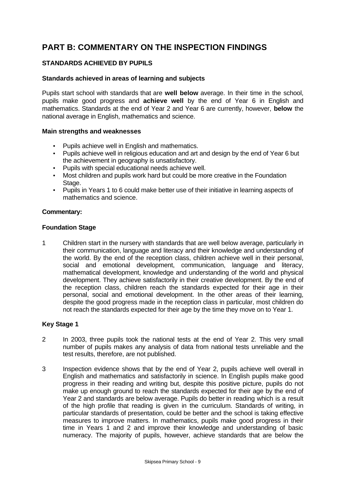## **PART B: COMMENTARY ON THE INSPECTION FINDINGS**

## **STANDARDS ACHIEVED BY PUPILS**

### **Standards achieved in areas of learning and subjects**

Pupils start school with standards that are **well below** average. In their time in the school, pupils make good progress and **achieve well** by the end of Year 6 in English and mathematics. Standards at the end of Year 2 and Year 6 are currently, however, **below** the national average in English, mathematics and science.

#### **Main strengths and weaknesses**

- Pupils achieve well in English and mathematics.
- Pupils achieve well in religious education and art and design by the end of Year 6 but the achievement in geography is unsatisfactory.
- Pupils with special educational needs achieve well.
- Most children and pupils work hard but could be more creative in the Foundation Stage.
- Pupils in Years 1 to 6 could make better use of their initiative in learning aspects of mathematics and science.

#### **Commentary:**

#### **Foundation Stage**

1 Children start in the nursery with standards that are well below average, particularly in their communication, language and literacy and their knowledge and understanding of the world. By the end of the reception class, children achieve well in their personal, social and emotional development, communication, language and literacy, mathematical development, knowledge and understanding of the world and physical development. They achieve satisfactorily in their creative development. By the end of the reception class, children reach the standards expected for their age in their personal, social and emotional development. In the other areas of their learning, despite the good progress made in the reception class in particular, most children do not reach the standards expected for their age by the time they move on to Year 1.

## **Key Stage 1**

- 2 In 2003, three pupils took the national tests at the end of Year 2. This very small number of pupils makes any analysis of data from national tests unreliable and the test results, therefore, are not published.
- 3 Inspection evidence shows that by the end of Year 2, pupils achieve well overall in English and mathematics and satisfactorily in science. In English pupils make good progress in their reading and writing but, despite this positive picture, pupils do not make up enough ground to reach the standards expected for their age by the end of Year 2 and standards are below average. Pupils do better in reading which is a result of the high profile that reading is given in the curriculum. Standards of writing, in particular standards of presentation, could be better and the school is taking effective measures to improve matters. In mathematics, pupils make good progress in their time in Years 1 and 2 and improve their knowledge and understanding of basic numeracy. The majority of pupils, however, achieve standards that are below the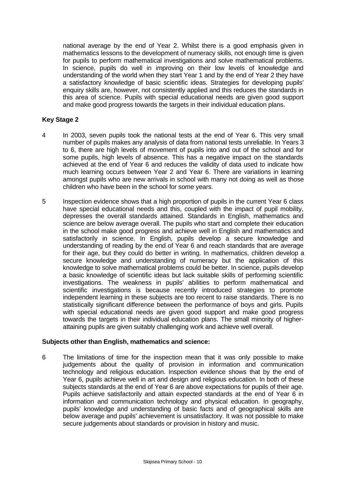national average by the end of Year 2. Whilst there is a good emphasis given in mathematics lessons to the development of numeracy skills, not enough time is given for pupils to perform mathematical investigations and solve mathematical problems. In science, pupils do well in improving on their low levels of knowledge and understanding of the world when they start Year 1 and by the end of Year 2 they have a satisfactory knowledge of basic scientific ideas. Strategies for developing pupils' enquiry skills are, however, not consistently applied and this reduces the standards in this area of science. Pupils with special educational needs are given good support and make good progress towards the targets in their individual education plans.

### **Key Stage 2**

- 4 In 2003, seven pupils took the national tests at the end of Year 6. This very small number of pupils makes any analysis of data from national tests unreliable. In Years 3 to 6, there are high levels of movement of pupils into and out of the school and for some pupils, high levels of absence. This has a negative impact on the standards achieved at the end of Year 6 and reduces the validity of data used to indicate how much learning occurs between Year 2 and Year 6. There are variations in learning amongst pupils who are new arrivals in school with many not doing as well as those children who have been in the school for some years.
- 5 Inspection evidence shows that a high proportion of pupils in the current Year 6 class have special educational needs and this, coupled with the impact of pupil mobility, depresses the overall standards attained. Standards in English, mathematics and science are below average overall. The pupils who start and complete their education in the school make good progress and achieve well in English and mathematics and satisfactorily in science. In English, pupils develop a secure knowledge and understanding of reading by the end of Year 6 and reach standards that are average for their age, but they could do better in writing. In mathematics, children develop a secure knowledge and understanding of numeracy but the application of this knowledge to solve mathematical problems could be better. In science, pupils develop a basic knowledge of scientific ideas but lack suitable skills of performing scientific investigations. The weakness in pupils' abilities to perform mathematical and scientific investigations is because recently introduced strategies to promote independent learning in these subjects are too recent to raise standards. There is no statistically significant difference between the performance of boys and girls. Pupils with special educational needs are given good support and make good progress towards the targets in their individual education plans. The small minority of higherattaining pupils are given suitably challenging work and achieve well overall.

#### **Subjects other than English, mathematics and science:**

6 The limitations of time for the inspection mean that it was only possible to make judgements about the quality of provision in information and communication technology and religious education. Inspection evidence shows that by the end of Year 6, pupils achieve well in art and design and religious education. In both of these subjects standards at the end of Year 6 are above expectations for pupils of their age. Pupils achieve satisfactorily and attain expected standards at the end of Year 6 in information and communication technology and physical education. In geography, pupils' knowledge and understanding of basic facts and of geographical skills are below average and pupils' achievement is unsatisfactory. It was not possible to make secure judgements about standards or provision in history and music.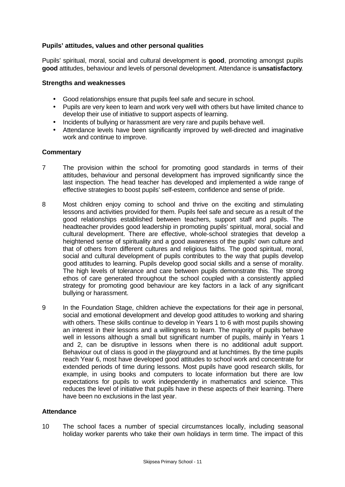## **Pupils' attitudes, values and other personal qualities**

Pupils' spiritual, moral, social and cultural development is **good**, promoting amongst pupils **good** attitudes, behaviour and levels of personal development. Attendance is **unsatisfactory**.

### **Strengths and weaknesses**

- Good relationships ensure that pupils feel safe and secure in school.
- Pupils are very keen to learn and work very well with others but have limited chance to develop their use of initiative to support aspects of learning.
- Incidents of bullying or harassment are very rare and pupils behave well.
- Attendance levels have been significantly improved by well-directed and imaginative work and continue to improve.

#### **Commentary**

- 7 The provision within the school for promoting good standards in terms of their attitudes, behaviour and personal development has improved significantly since the last inspection. The head teacher has developed and implemented a wide range of effective strategies to boost pupils' self-esteem, confidence and sense of pride.
- 8 Most children enjoy coming to school and thrive on the exciting and stimulating lessons and activities provided for them. Pupils feel safe and secure as a result of the good relationships established between teachers, support staff and pupils. The headteacher provides good leadership in promoting pupils' spiritual, moral, social and cultural development. There are effective, whole-school strategies that develop a heightened sense of spirituality and a good awareness of the pupils' own culture and that of others from different cultures and religious faiths. The good spiritual, moral, social and cultural development of pupils contributes to the way that pupils develop good attitudes to learning. Pupils develop good social skills and a sense of morality. The high levels of tolerance and care between pupils demonstrate this. The strong ethos of care generated throughout the school coupled with a consistently applied strategy for promoting good behaviour are key factors in a lack of any significant bullying or harassment.
- 9 In the Foundation Stage, children achieve the expectations for their age in personal, social and emotional development and develop good attitudes to working and sharing with others. These skills continue to develop in Years 1 to 6 with most pupils showing an interest in their lessons and a willingness to learn. The majority of pupils behave well in lessons although a small but significant number of pupils, mainly in Years 1 and 2, can be disruptive in lessons when there is no additional adult support. Behaviour out of class is good in the playground and at lunchtimes. By the time pupils reach Year 6, most have developed good attitudes to school work and concentrate for extended periods of time during lessons. Most pupils have good research skills, for example, in using books and computers to locate information but there are low expectations for pupils to work independently in mathematics and science. This reduces the level of initiative that pupils have in these aspects of their learning. There have been no exclusions in the last year.

## **Attendance**

10 The school faces a number of special circumstances locally, including seasonal holiday worker parents who take their own holidays in term time. The impact of this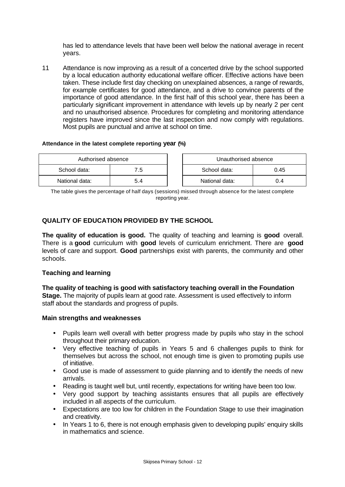has led to attendance levels that have been well below the national average in recent years.

11 Attendance is now improving as a result of a concerted drive by the school supported by a local education authority educational welfare officer. Effective actions have been taken. These include first day checking on unexplained absences, a range of rewards, for example certificates for good attendance, and a drive to convince parents of the importance of good attendance. In the first half of this school year, there has been a particularly significant improvement in attendance with levels up by nearly 2 per cent and no unauthorised absence. Procedures for completing and monitoring attendance registers have improved since the last inspection and now comply with regulations. Most pupils are punctual and arrive at school on time.

#### **Attendance in the latest complete reporting year (%)**

| Authorised absence |     | Unauthorised absence |      |
|--------------------|-----|----------------------|------|
| School data:       | 7.5 | School data:         | 0.45 |
| National data:     | 5.4 | National data:       |      |

The table gives the percentage of half days (sessions) missed through absence for the latest complete reporting year.

## **QUALITY OF EDUCATION PROVIDED BY THE SCHOOL**

**The quality of education is good.** The quality of teaching and learning is **good** overall. There is a **good** curriculum with **good** levels of curriculum enrichment. There are **good** levels of care and support. **Good** partnerships exist with parents, the community and other schools.

## **Teaching and learning**

**The quality of teaching is good with satisfactory teaching overall in the Foundation Stage.** The majority of pupils learn at good rate. Assessment is used effectively to inform staff about the standards and progress of pupils.

#### **Main strengths and weaknesses**

- Pupils learn well overall with better progress made by pupils who stay in the school throughout their primary education.
- Very effective teaching of pupils in Years 5 and 6 challenges pupils to think for themselves but across the school, not enough time is given to promoting pupils use of initiative.
- Good use is made of assessment to guide planning and to identify the needs of new arrivals.
- Reading is taught well but, until recently, expectations for writing have been too low.
- Very good support by teaching assistants ensures that all pupils are effectively included in all aspects of the curriculum.
- Expectations are too low for children in the Foundation Stage to use their imagination and creativity.
- In Years 1 to 6, there is not enough emphasis given to developing pupils' enquiry skills in mathematics and science.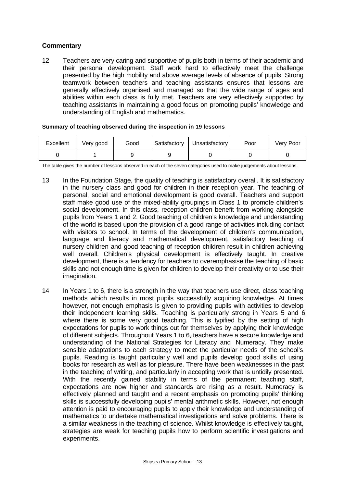## **Commentary**

12 Teachers are very caring and supportive of pupils both in terms of their academic and their personal development. Staff work hard to effectively meet the challenge presented by the high mobility and above average levels of absence of pupils. Strong teamwork between teachers and teaching assistants ensures that lessons are generally effectively organised and managed so that the wide range of ages and abilities within each class is fully met. Teachers are very effectively supported by teaching assistants in maintaining a good focus on promoting pupils' knowledge and understanding of English and mathematics.

|  |  |  |  |  | Summary of teaching observed during the inspection in 19 lessons |
|--|--|--|--|--|------------------------------------------------------------------|
|--|--|--|--|--|------------------------------------------------------------------|

| Excellent | Very good | Good | Satisfactory | Unsatisfactory | Poor | Very Poor |
|-----------|-----------|------|--------------|----------------|------|-----------|
|           |           |      |              |                |      |           |

The table gives the number of lessons observed in each of the seven categories used to make judgements about lessons.

- 13 In the Foundation Stage, the quality of teaching is satisfactory overall. It is satisfactory in the nursery class and good for children in their reception year. The teaching of personal, social and emotional development is good overall. Teachers and support staff make good use of the mixed-ability groupings in Class 1 to promote children's social development. In this class, reception children benefit from working alongside pupils from Years 1 and 2. Good teaching of children's knowledge and understanding of the world is based upon the provision of a good range of activities including contact with visitors to school. In terms of the development of children's communication, language and literacy and mathematical development, satisfactory teaching of nursery children and good teaching of reception children result in children achieving well overall. Children's physical development is effectively taught. In creative development, there is a tendency for teachers to overemphasise the teaching of basic skills and not enough time is given for children to develop their creativity or to use their imagination.
- 14 In Years 1 to 6, there is a strength in the way that teachers use direct, class teaching methods which results in most pupils successfully acquiring knowledge. At times however, not enough emphasis is given to providing pupils with activities to develop their independent learning skills. Teaching is particularly strong in Years 5 and 6 where there is some very good teaching. This is typified by the setting of high expectations for pupils to work things out for themselves by applying their knowledge of different subjects. Throughout Years 1 to 6, teachers have a secure knowledge and understanding of the National Strategies for Literacy and Numeracy. They make sensible adaptations to each strategy to meet the particular needs of the school's pupils. Reading is taught particularly well and pupils develop good skills of using books for research as well as for pleasure. There have been weaknesses in the past in the teaching of writing, and particularly in accepting work that is untidily presented. With the recently gained stability in terms of the permanent teaching staff, expectations are now higher and standards are rising as a result. Numeracy is effectively planned and taught and a recent emphasis on promoting pupils' thinking skills is successfully developing pupils' mental arithmetic skills. However, not enough attention is paid to encouraging pupils to apply their knowledge and understanding of mathematics to undertake mathematical investigations and solve problems. There is a similar weakness in the teaching of science. Whilst knowledge is effectively taught, strategies are weak for teaching pupils how to perform scientific investigations and experiments.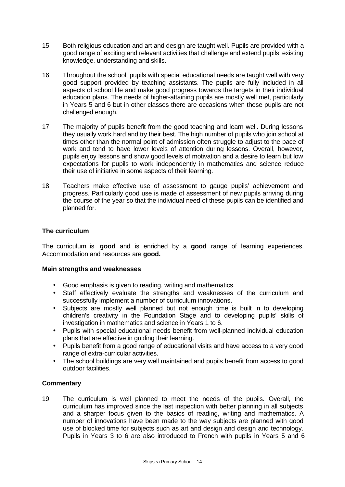- 15 Both religious education and art and design are taught well. Pupils are provided with a good range of exciting and relevant activities that challenge and extend pupils' existing knowledge, understanding and skills.
- 16 Throughout the school, pupils with special educational needs are taught well with very good support provided by teaching assistants. The pupils are fully included in all aspects of school life and make good progress towards the targets in their individual education plans. The needs of higher-attaining pupils are mostly well met, particularly in Years 5 and 6 but in other classes there are occasions when these pupils are not challenged enough.
- 17 The majority of pupils benefit from the good teaching and learn well. During lessons they usually work hard and try their best. The high number of pupils who join school at times other than the normal point of admission often struggle to adjust to the pace of work and tend to have lower levels of attention during lessons. Overall, however, pupils enjoy lessons and show good levels of motivation and a desire to learn but low expectations for pupils to work independently in mathematics and science reduce their use of initiative in some aspects of their learning.
- 18 Teachers make effective use of assessment to gauge pupils' achievement and progress. Particularly good use is made of assessment of new pupils arriving during the course of the year so that the individual need of these pupils can be identified and planned for.

## **The curriculum**

The curriculum is **good** and is enriched by a **good** range of learning experiences. Accommodation and resources are **good.**

## **Main strengths and weaknesses**

- Good emphasis is given to reading, writing and mathematics.
- Staff effectively evaluate the strengths and weaknesses of the curriculum and successfully implement a number of curriculum innovations.
- Subjects are mostly well planned but not enough time is built in to developing children's creativity in the Foundation Stage and to developing pupils' skills of investigation in mathematics and science in Years 1 to 6.
- Pupils with special educational needs benefit from well-planned individual education plans that are effective in guiding their learning.
- Pupils benefit from a good range of educational visits and have access to a very good range of extra-curricular activities.
- The school buildings are very well maintained and pupils benefit from access to good outdoor facilities.

## **Commentary**

19 The curriculum is well planned to meet the needs of the pupils. Overall, the curriculum has improved since the last inspection with better planning in all subjects and a sharper focus given to the basics of reading, writing and mathematics. A number of innovations have been made to the way subjects are planned with good use of blocked time for subjects such as art and design and design and technology. Pupils in Years 3 to 6 are also introduced to French with pupils in Years 5 and 6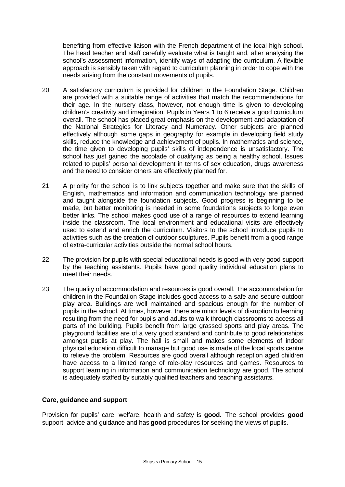benefiting from effective liaison with the French department of the local high school. The head teacher and staff carefully evaluate what is taught and, after analysing the school's assessment information, identify ways of adapting the curriculum. A flexible approach is sensibly taken with regard to curriculum planning in order to cope with the needs arising from the constant movements of pupils.

- 20 A satisfactory curriculum is provided for children in the Foundation Stage. Children are provided with a suitable range of activities that match the recommendations for their age. In the nursery class, however, not enough time is given to developing children's creativity and imagination. Pupils in Years 1 to 6 receive a good curriculum overall. The school has placed great emphasis on the development and adaptation of the National Strategies for Literacy and Numeracy. Other subjects are planned effectively although some gaps in geography for example in developing field study skills, reduce the knowledge and achievement of pupils. In mathematics and science, the time given to developing pupils' skills of independence is unsatisfactory. The school has just gained the accolade of qualifying as being a healthy school. Issues related to pupils' personal development in terms of sex education, drugs awareness and the need to consider others are effectively planned for.
- 21 A priority for the school is to link subjects together and make sure that the skills of English, mathematics and information and communication technology are planned and taught alongside the foundation subjects. Good progress is beginning to be made, but better monitoring is needed in some foundations subjects to forge even better links. The school makes good use of a range of resources to extend learning inside the classroom. The local environment and educational visits are effectively used to extend and enrich the curriculum. Visitors to the school introduce pupils to activities such as the creation of outdoor sculptures. Pupils benefit from a good range of extra-curricular activities outside the normal school hours.
- 22 The provision for pupils with special educational needs is good with very good support by the teaching assistants. Pupils have good quality individual education plans to meet their needs.
- 23 The quality of accommodation and resources is good overall. The accommodation for children in the Foundation Stage includes good access to a safe and secure outdoor play area. Buildings are well maintained and spacious enough for the number of pupils in the school. At times, however, there are minor levels of disruption to learning resulting from the need for pupils and adults to walk through classrooms to access all parts of the building. Pupils benefit from large grassed sports and play areas. The playground facilities are of a very good standard and contribute to good relationships amongst pupils at play. The hall is small and makes some elements of indoor physical education difficult to manage but good use is made of the local sports centre to relieve the problem. Resources are good overall although reception aged children have access to a limited range of role-play resources and games. Resources to support learning in information and communication technology are good. The school is adequately staffed by suitably qualified teachers and teaching assistants.

## **Care, guidance and support**

Provision for pupils' care, welfare, health and safety is **good.** The school provides **good** support, advice and guidance and has **good** procedures for seeking the views of pupils.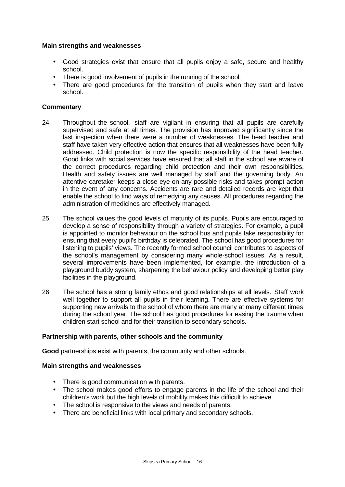### **Main strengths and weaknesses**

- Good strategies exist that ensure that all pupils enjoy a safe, secure and healthy school.
- There is good involvement of pupils in the running of the school.
- There are good procedures for the transition of pupils when they start and leave school.

## **Commentary**

- 24 Throughout the school, staff are vigilant in ensuring that all pupils are carefully supervised and safe at all times. The provision has improved significantly since the last inspection when there were a number of weaknesses. The head teacher and staff have taken very effective action that ensures that all weaknesses have been fully addressed. Child protection is now the specific responsibility of the head teacher. Good links with social services have ensured that all staff in the school are aware of the correct procedures regarding child protection and their own responsibilities. Health and safety issues are well managed by staff and the governing body. An attentive caretaker keeps a close eye on any possible risks and takes prompt action in the event of any concerns. Accidents are rare and detailed records are kept that enable the school to find ways of remedying any causes. All procedures regarding the administration of medicines are effectively managed.
- 25 The school values the good levels of maturity of its pupils. Pupils are encouraged to develop a sense of responsibility through a variety of strategies. For example, a pupil is appointed to monitor behaviour on the school bus and pupils take responsibility for ensuring that every pupil's birthday is celebrated. The school has good procedures for listening to pupils' views. The recently formed school council contributes to aspects of the school's management by considering many whole-school issues. As a result, several improvements have been implemented, for example, the introduction of a playground buddy system, sharpening the behaviour policy and developing better play facilities in the playground.
- 26 The school has a strong family ethos and good relationships at all levels. Staff work well together to support all pupils in their learning. There are effective systems for supporting new arrivals to the school of whom there are many at many different times during the school year. The school has good procedures for easing the trauma when children start school and for their transition to secondary schools.

## **Partnership with parents, other schools and the community**

**Good** partnerships exist with parents, the community and other schools.

#### **Main strengths and weaknesses**

- There is good communication with parents.
- The school makes good efforts to engage parents in the life of the school and their children's work but the high levels of mobility makes this difficult to achieve.
- The school is responsive to the views and needs of parents.
- There are beneficial links with local primary and secondary schools.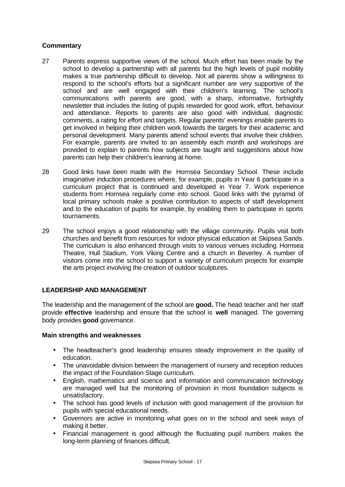## **Commentary**

- 27 Parents express supportive views of the school. Much effort has been made by the school to develop a partnership with all parents but the high levels of pupil mobility makes a true partnership difficult to develop. Not all parents show a willingness to respond to the school's efforts but a significant number are very supportive of the school and are well engaged with their children's learning. The school's communications with parents are good, with a sharp, informative, fortnightly newsletter that includes the listing of pupils rewarded for good work, effort, behaviour and attendance. Reports to parents are also good with individual, diagnostic comments, a rating for effort and targets. Regular parents' evenings enable parents to get involved in helping their children work towards the targets for their academic and personal development. Many parents attend school events that involve their children. For example, parents are invited to an assembly each month and workshops are provided to explain to parents how subjects are taught and suggestions about how parents can help their children's learning at home.
- 28 Good links have been made with the Hornsea Secondary School. These include imaginative induction procedures where, for example, pupils in Year 6 participate in a curriculum project that is continued and developed in Year 7. Work experience students from Hornsea regularly come into school. Good links with the pyramid of local primary schools make a positive contribution to aspects of staff development and to the education of pupils for example, by enabling them to participate in sports tournaments.
- 29 The school enjoys a good relationship with the village community. Pupils visit both churches and benefit from resources for indoor physical education at Skipsea Sands. The curriculum is also enhanced through visits to various venues including Hornsea Theatre, Hull Stadium, York Viking Centre and a church in Beverley. A number of visitors come into the school to support a variety of curriculum projects for example the arts project involving the creation of outdoor sculptures.

## **LEADERSHIP AND MANAGEMENT**

The leadership and the management of the school are **good.** The head teacher and her staff provide **effective** leadership and ensure that the school is **well** managed. The governing body provides **good** governance.

## **Main strengths and weaknesses**

- The headteacher's good leadership ensures steady improvement in the quality of education.
- The unavoidable division between the management of nursery and reception reduces the impact of the Foundation Stage curriculum.
- English, mathematics and science and information and communication technology are managed well but the monitoring of provision in most foundation subjects is unsatisfactory.
- The school has good levels of inclusion with good management of the provision for pupils with special educational needs.
- Governors are active in monitoring what goes on in the school and seek ways of making it better.
- Financial management is good although the fluctuating pupil numbers makes the long-term planning of finances difficult.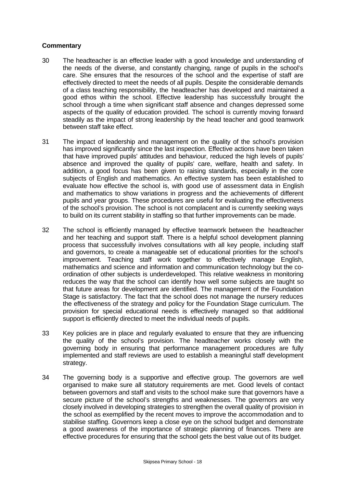- 30 The headteacher is an effective leader with a good knowledge and understanding of the needs of the diverse, and constantly changing, range of pupils in the school's care. She ensures that the resources of the school and the expertise of staff are effectively directed to meet the needs of all pupils. Despite the considerable demands of a class teaching responsibility, the headteacher has developed and maintained a good ethos within the school. Effective leadership has successfully brought the school through a time when significant staff absence and changes depressed some aspects of the quality of education provided. The school is currently moving forward steadily as the impact of strong leadership by the head teacher and good teamwork between staff take effect.
- 31 The impact of leadership and management on the quality of the school's provision has improved significantly since the last inspection. Effective actions have been taken that have improved pupils' attitudes and behaviour, reduced the high levels of pupils' absence and improved the quality of pupils' care, welfare, health and safety. In addition, a good focus has been given to raising standards, especially in the core subjects of English and mathematics. An effective system has been established to evaluate how effective the school is, with good use of assessment data in English and mathematics to show variations in progress and the achievements of different pupils and year groups. These procedures are useful for evaluating the effectiveness of the school's provision. The school is not complacent and is currently seeking ways to build on its current stability in staffing so that further improvements can be made.
- 32 The school is efficiently managed by effective teamwork between the headteacher and her teaching and support staff. There is a helpful school development planning process that successfully involves consultations with all key people, including staff and governors, to create a manageable set of educational priorities for the school's improvement. Teaching staff work together to effectively manage English, mathematics and science and information and communication technology but the coordination of other subjects is underdeveloped. This relative weakness in monitoring reduces the way that the school can identify how well some subjects are taught so that future areas for development are identified. The management of the Foundation Stage is satisfactory. The fact that the school does not manage the nursery reduces the effectiveness of the strategy and policy for the Foundation Stage curriculum. The provision for special educational needs is effectively managed so that additional support is efficiently directed to meet the individual needs of pupils.
- 33 Key policies are in place and regularly evaluated to ensure that they are influencing the quality of the school's provision. The headteacher works closely with the governing body in ensuring that performance management procedures are fully implemented and staff reviews are used to establish a meaningful staff development strategy.
- 34 The governing body is a supportive and effective group. The governors are well organised to make sure all statutory requirements are met. Good levels of contact between governors and staff and visits to the school make sure that governors have a secure picture of the school's strengths and weaknesses. The governors are very closely involved in developing strategies to strengthen the overall quality of provision in the school as exemplified by the recent moves to improve the accommodation and to stabilise staffing. Governors keep a close eye on the school budget and demonstrate a good awareness of the importance of strategic planning of finances. There are effective procedures for ensuring that the school gets the best value out of its budget.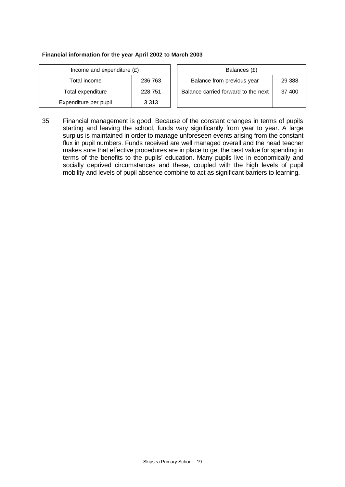#### **Financial information for the year April 2002 to March 2003**

| Income and expenditure $(E)$ |         |  | Balances (£)                   |
|------------------------------|---------|--|--------------------------------|
| Total income                 | 236 763 |  | Balance from previous yea      |
| Total expenditure            | 228 751 |  | Balance carried forward to the |
| Expenditure per pupil        | 3 3 1 3 |  |                                |

| Income and expenditure $(E)$ |         | Balances (£)                        |         |
|------------------------------|---------|-------------------------------------|---------|
| Total income                 | 236 763 | Balance from previous year          | 29 3 88 |
| Total expenditure            | 228 751 | Balance carried forward to the next | 37 400  |
| xpenditure per pupil         | 3 3 1 3 |                                     |         |

35 Financial management is good. Because of the constant changes in terms of pupils starting and leaving the school, funds vary significantly from year to year. A large surplus is maintained in order to manage unforeseen events arising from the constant flux in pupil numbers. Funds received are well managed overall and the head teacher makes sure that effective procedures are in place to get the best value for spending in terms of the benefits to the pupils' education. Many pupils live in economically and socially deprived circumstances and these, coupled with the high levels of pupil mobility and levels of pupil absence combine to act as significant barriers to learning.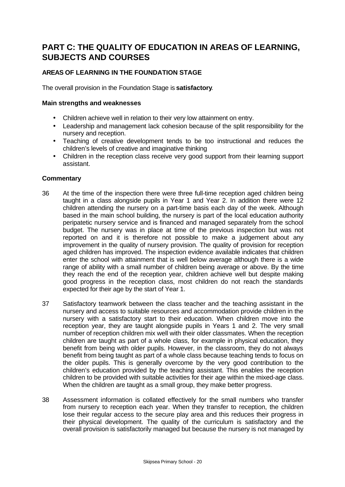## **PART C: THE QUALITY OF EDUCATION IN AREAS OF LEARNING, SUBJECTS AND COURSES**

## **AREAS OF LEARNING IN THE FOUNDATION STAGE**

The overall provision in the Foundation Stage is **satisfactory**.

#### **Main strengths and weaknesses**

- Children achieve well in relation to their very low attainment on entry.
- Leadership and management lack cohesion because of the split responsibility for the nursery and reception.
- Teaching of creative development tends to be too instructional and reduces the children's levels of creative and imaginative thinking
- Children in the reception class receive very good support from their learning support assistant.

- 36 At the time of the inspection there were three full-time reception aged children being taught in a class alongside pupils in Year 1 and Year 2. In addition there were 12 children attending the nursery on a part-time basis each day of the week. Although based in the main school building, the nursery is part of the local education authority peripatetic nursery service and is financed and managed separately from the school budget. The nursery was in place at time of the previous inspection but was not reported on and it is therefore not possible to make a judgement about any improvement in the quality of nursery provision. The quality of provision for reception aged children has improved. The inspection evidence available indicates that children enter the school with attainment that is well below average although there is a wide range of ability with a small number of children being average or above. By the time they reach the end of the reception year, children achieve well but despite making good progress in the reception class, most children do not reach the standards expected for their age by the start of Year 1.
- 37 Satisfactory teamwork between the class teacher and the teaching assistant in the nursery and access to suitable resources and accommodation provide children in the nursery with a satisfactory start to their education. When children move into the reception year, they are taught alongside pupils in Years 1 and 2. The very small number of reception children mix well with their older classmates. When the reception children are taught as part of a whole class, for example in physical education, they benefit from being with older pupils. However, in the classroom, they do not always benefit from being taught as part of a whole class because teaching tends to focus on the older pupils. This is generally overcome by the very good contribution to the children's education provided by the teaching assistant. This enables the reception children to be provided with suitable activities for their age within the mixed-age class. When the children are taught as a small group, they make better progress.
- 38 Assessment information is collated effectively for the small numbers who transfer from nursery to reception each year. When they transfer to reception, the children lose their regular access to the secure play area and this reduces their progress in their physical development. The quality of the curriculum is satisfactory and the overall provision is satisfactorily managed but because the nursery is not managed by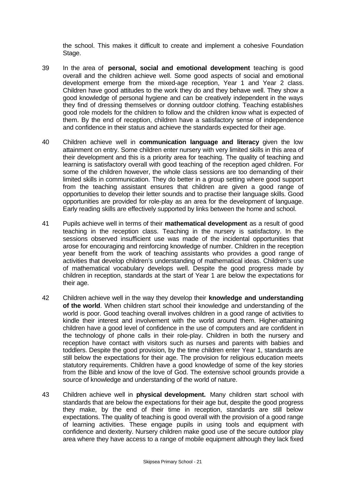the school. This makes it difficult to create and implement a cohesive Foundation Stage.

- 39 In the area of **personal, social and emotional development** teaching is good overall and the children achieve well. Some good aspects of social and emotional development emerge from the mixed-age reception, Year 1 and Year 2 class. Children have good attitudes to the work they do and they behave well. They show a good knowledge of personal hygiene and can be creatively independent in the ways they find of dressing themselves or donning outdoor clothing. Teaching establishes good role models for the children to follow and the children know what is expected of them. By the end of reception, children have a satisfactory sense of independence and confidence in their status and achieve the standards expected for their age.
- 40 Children achieve well in **communication language and literacy** given the low attainment on entry. Some children enter nursery with very limited skills in this area of their development and this is a priority area for teaching. The quality of teaching and learning is satisfactory overall with good teaching of the reception aged children. For some of the children however, the whole class sessions are too demanding of their limited skills in communication. They do better in a group setting where good support from the teaching assistant ensures that children are given a good range of opportunities to develop their letter sounds and to practise their language skills. Good opportunities are provided for role-play as an area for the development of language. Early reading skills are effectively supported by links between the home and school.
- 41 Pupils achieve well in terms of their **mathematical development** as a result of good teaching in the reception class. Teaching in the nursery is satisfactory. In the sessions observed insufficient use was made of the incidental opportunities that arose for encouraging and reinforcing knowledge of number. Children in the reception year benefit from the work of teaching assistants who provides a good range of activities that develop children's understanding of mathematical ideas. Children's use of mathematical vocabulary develops well. Despite the good progress made by children in reception, standards at the start of Year 1 are below the expectations for their age.
- 42 Children achieve well in the way they develop their **knowledge and understanding of the world**. When children start school their knowledge and understanding of the world is poor. Good teaching overall involves children in a good range of activities to kindle their interest and involvement with the world around them. Higher-attaining children have a good level of confidence in the use of computers and are confident in the technology of phone calls in their role-play. Children in both the nursery and reception have contact with visitors such as nurses and parents with babies and toddlers. Despite the good provision, by the time children enter Year 1, standards are still below the expectations for their age. The provision for religious education meets statutory requirements. Children have a good knowledge of some of the key stories from the Bible and know of the love of God. The extensive school grounds provide a source of knowledge and understanding of the world of nature.
- 43 Children achieve well in **physical development.** Many children start school with standards that are below the expectations for their age but, despite the good progress they make, by the end of their time in reception, standards are still below expectations. The quality of teaching is good overall with the provision of a good range of learning activities. These engage pupils in using tools and equipment with confidence and dexterity. Nursery children make good use of the secure outdoor play area where they have access to a range of mobile equipment although they lack fixed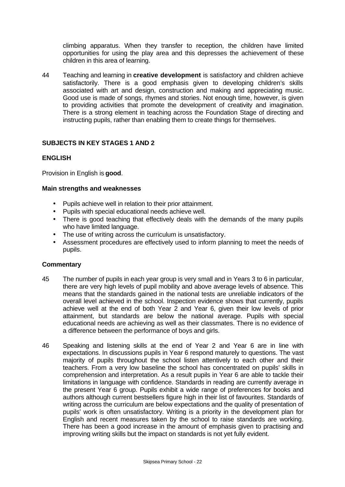climbing apparatus. When they transfer to reception, the children have limited opportunities for using the play area and this depresses the achievement of these children in this area of learning.

44 Teaching and learning in **creative development** is satisfactory and children achieve satisfactorily. There is a good emphasis given to developing children's skills associated with art and design, construction and making and appreciating music. Good use is made of songs, rhymes and stories. Not enough time, however, is given to providing activities that promote the development of creativity and imagination. There is a strong element in teaching across the Foundation Stage of directing and instructing pupils, rather than enabling them to create things for themselves.

## **SUBJECTS IN KEY STAGES 1 AND 2**

## **ENGLISH**

Provision in English is **good**.

#### **Main strengths and weaknesses**

- Pupils achieve well in relation to their prior attainment.
- Pupils with special educational needs achieve well.
- There is good teaching that effectively deals with the demands of the many pupils who have limited language.
- The use of writing across the curriculum is unsatisfactory.
- Assessment procedures are effectively used to inform planning to meet the needs of pupils.

- 45 The number of pupils in each year group is very small and in Years 3 to 6 in particular, there are very high levels of pupil mobility and above average levels of absence. This means that the standards gained in the national tests are unreliable indicators of the overall level achieved in the school. Inspection evidence shows that currently, pupils achieve well at the end of both Year 2 and Year 6, given their low levels of prior attainment, but standards are below the national average. Pupils with special educational needs are achieving as well as their classmates. There is no evidence of a difference between the performance of boys and girls.
- 46 Speaking and listening skills at the end of Year 2 and Year 6 are in line with expectations. In discussions pupils in Year 6 respond maturely to questions. The vast majority of pupils throughout the school listen attentively to each other and their teachers. From a very low baseline the school has concentrated on pupils' skills in comprehension and interpretation. As a result pupils in Year 6 are able to tackle their limitations in language with confidence. Standards in reading are currently average in the present Year 6 group. Pupils exhibit a wide range of preferences for books and authors although current bestsellers figure high in their list of favourites. Standards of writing across the curriculum are below expectations and the quality of presentation of pupils' work is often unsatisfactory. Writing is a priority in the development plan for English and recent measures taken by the school to raise standards are working. There has been a good increase in the amount of emphasis given to practising and improving writing skills but the impact on standards is not yet fully evident.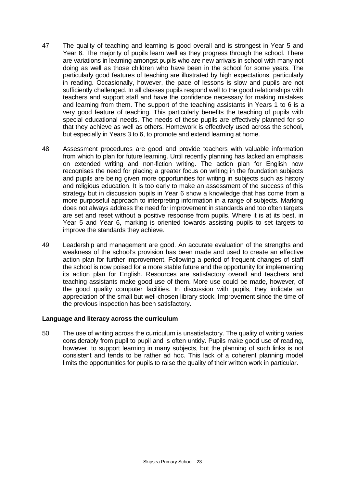- 47 The quality of teaching and learning is good overall and is strongest in Year 5 and Year 6. The majority of pupils learn well as they progress through the school. There are variations in learning amongst pupils who are new arrivals in school with many not doing as well as those children who have been in the school for some years. The particularly good features of teaching are illustrated by high expectations, particularly in reading. Occasionally, however, the pace of lessons is slow and pupils are not sufficiently challenged. In all classes pupils respond well to the good relationships with teachers and support staff and have the confidence necessary for making mistakes and learning from them. The support of the teaching assistants in Years 1 to 6 is a very good feature of teaching. This particularly benefits the teaching of pupils with special educational needs. The needs of these pupils are effectively planned for so that they achieve as well as others. Homework is effectively used across the school, but especially in Years 3 to 6, to promote and extend learning at home.
- 48 Assessment procedures are good and provide teachers with valuable information from which to plan for future learning. Until recently planning has lacked an emphasis on extended writing and non-fiction writing. The action plan for English now recognises the need for placing a greater focus on writing in the foundation subjects and pupils are being given more opportunities for writing in subjects such as history and religious education. It is too early to make an assessment of the success of this strategy but in discussion pupils in Year 6 show a knowledge that has come from a more purposeful approach to interpreting information in a range of subjects. Marking does not always address the need for improvement in standards and too often targets are set and reset without a positive response from pupils. Where it is at its best, in Year 5 and Year 6, marking is oriented towards assisting pupils to set targets to improve the standards they achieve.
- 49 Leadership and management are good. An accurate evaluation of the strengths and weakness of the school's provision has been made and used to create an effective action plan for further improvement. Following a period of frequent changes of staff the school is now poised for a more stable future and the opportunity for implementing its action plan for English. Resources are satisfactory overall and teachers and teaching assistants make good use of them. More use could be made, however, of the good quality computer facilities. In discussion with pupils, they indicate an appreciation of the small but well-chosen library stock. Improvement since the time of the previous inspection has been satisfactory.

## **Language and literacy across the curriculum**

50 The use of writing across the curriculum is unsatisfactory. The quality of writing varies considerably from pupil to pupil and is often untidy. Pupils make good use of reading, however, to support learning in many subjects, but the planning of such links is not consistent and tends to be rather ad hoc. This lack of a coherent planning model limits the opportunities for pupils to raise the quality of their written work in particular.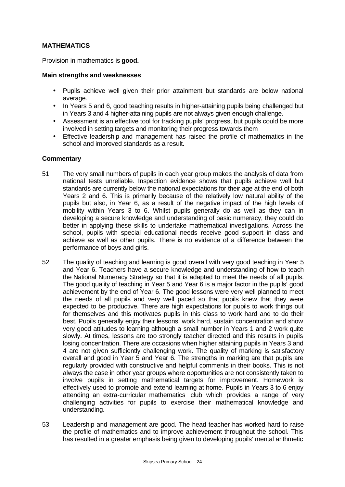## **MATHEMATICS**

Provision in mathematics is **good.**

#### **Main strengths and weaknesses**

- Pupils achieve well given their prior attainment but standards are below national average.
- In Years 5 and 6, good teaching results in higher-attaining pupils being challenged but in Years 3 and 4 higher-attaining pupils are not always given enough challenge.
- Assessment is an effective tool for tracking pupils' progress, but pupils could be more involved in setting targets and monitoring their progress towards them
- Effective leadership and management has raised the profile of mathematics in the school and improved standards as a result.

- 51 The very small numbers of pupils in each year group makes the analysis of data from national tests unreliable. Inspection evidence shows that pupils achieve well but standards are currently below the national expectations for their age at the end of both Years 2 and 6. This is primarily because of the relatively low natural ability of the pupils but also, in Year 6, as a result of the negative impact of the high levels of mobility within Years 3 to 6. Whilst pupils generally do as well as they can in developing a secure knowledge and understanding of basic numeracy, they could do better in applying these skills to undertake mathematical investigations. Across the school, pupils with special educational needs receive good support in class and achieve as well as other pupils. There is no evidence of a difference between the performance of boys and girls.
- 52 The quality of teaching and learning is good overall with very good teaching in Year 5 and Year 6. Teachers have a secure knowledge and understanding of how to teach the National Numeracy Strategy so that it is adapted to meet the needs of all pupils. The good quality of teaching in Year 5 and Year 6 is a major factor in the pupils' good achievement by the end of Year 6. The good lessons were very well planned to meet the needs of all pupils and very well paced so that pupils knew that they were expected to be productive. There are high expectations for pupils to work things out for themselves and this motivates pupils in this class to work hard and to do their best. Pupils generally enjoy their lessons, work hard, sustain concentration and show very good attitudes to learning although a small number in Years 1 and 2 work quite slowly. At times, lessons are too strongly teacher directed and this results in pupils losing concentration. There are occasions when higher attaining pupils in Years 3 and 4 are not given sufficiently challenging work. The quality of marking is satisfactory overall and good in Year 5 and Year 6. The strengths in marking are that pupils are regularly provided with constructive and helpful comments in their books. This is not always the case in other year groups where opportunities are not consistently taken to involve pupils in setting mathematical targets for improvement. Homework is effectively used to promote and extend learning at home. Pupils in Years 3 to 6 enjoy attending an extra-curricular mathematics club which provides a range of very challenging activities for pupils to exercise their mathematical knowledge and understanding.
- 53 Leadership and management are good. The head teacher has worked hard to raise the profile of mathematics and to improve achievement throughout the school. This has resulted in a greater emphasis being given to developing pupils' mental arithmetic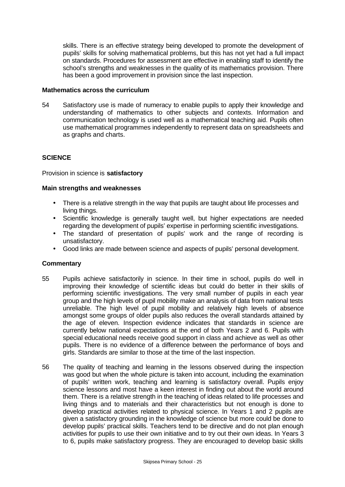skills. There is an effective strategy being developed to promote the development of pupils' skills for solving mathematical problems, but this has not yet had a full impact on standards. Procedures for assessment are effective in enabling staff to identify the school's strengths and weaknesses in the quality of its mathematics provision. There has been a good improvement in provision since the last inspection.

#### **Mathematics across the curriculum**

54 Satisfactory use is made of numeracy to enable pupils to apply their knowledge and understanding of mathematics to other subjects and contexts. Information and communication technology is used well as a mathematical teaching aid. Pupils often use mathematical programmes independently to represent data on spreadsheets and as graphs and charts.

## **SCIENCE**

#### Provision in science is **satisfactory**

#### **Main strengths and weaknesses**

- There is a relative strength in the way that pupils are taught about life processes and living things.
- Scientific knowledge is generally taught well, but higher expectations are needed regarding the development of pupils' expertise in performing scientific investigations.
- The standard of presentation of pupils' work and the range of recording is unsatisfactory.
- Good links are made between science and aspects of pupils' personal development.

- 55 Pupils achieve satisfactorily in science. In their time in school, pupils do well in improving their knowledge of scientific ideas but could do better in their skills of performing scientific investigations. The very small number of pupils in each year group and the high levels of pupil mobility make an analysis of data from national tests unreliable. The high level of pupil mobility and relatively high levels of absence amongst some groups of older pupils also reduces the overall standards attained by the age of eleven. Inspection evidence indicates that standards in science are currently below national expectations at the end of both Years 2 and 6. Pupils with special educational needs receive good support in class and achieve as well as other pupils. There is no evidence of a difference between the performance of boys and girls. Standards are similar to those at the time of the last inspection.
- 56 The quality of teaching and learning in the lessons observed during the inspection was good but when the whole picture is taken into account, including the examination of pupils' written work, teaching and learning is satisfactory overall. Pupils enjoy science lessons and most have a keen interest in finding out about the world around them. There is a relative strength in the teaching of ideas related to life processes and living things and to materials and their characteristics but not enough is done to develop practical activities related to physical science. In Years 1 and 2 pupils are given a satisfactory grounding in the knowledge of science but more could be done to develop pupils' practical skills. Teachers tend to be directive and do not plan enough activities for pupils to use their own initiative and to try out their own ideas. In Years 3 to 6, pupils make satisfactory progress. They are encouraged to develop basic skills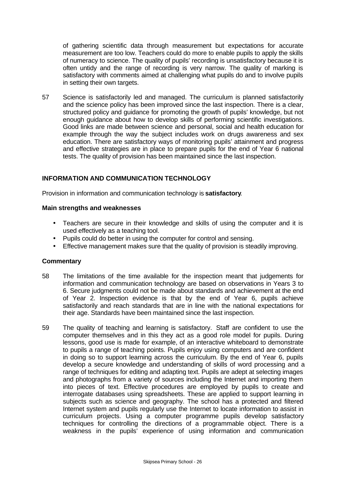of gathering scientific data through measurement but expectations for accurate measurement are too low. Teachers could do more to enable pupils to apply the skills of numeracy to science. The quality of pupils' recording is unsatisfactory because it is often untidy and the range of recording is very narrow. The quality of marking is satisfactory with comments aimed at challenging what pupils do and to involve pupils in setting their own targets.

57 Science is satisfactorily led and managed. The curriculum is planned satisfactorily and the science policy has been improved since the last inspection. There is a clear, structured policy and guidance for promoting the growth of pupils' knowledge, but not enough guidance about how to develop skills of performing scientific investigations. Good links are made between science and personal, social and health education for example through the way the subject includes work on drugs awareness and sex education. There are satisfactory ways of monitoring pupils' attainment and progress and effective strategies are in place to prepare pupils for the end of Year 6 national tests. The quality of provision has been maintained since the last inspection.

## **INFORMATION AND COMMUNICATION TECHNOLOGY**

Provision in information and communication technology is **satisfactory**.

#### **Main strengths and weaknesses**

- Teachers are secure in their knowledge and skills of using the computer and it is used effectively as a teaching tool.
- Pupils could do better in using the computer for control and sensing.
- Effective management makes sure that the quality of provision is steadily improving.

- 58 The limitations of the time available for the inspection meant that judgements for information and communication technology are based on observations in Years 3 to 6. Secure judgments could not be made about standards and achievement at the end of Year 2. Inspection evidence is that by the end of Year 6, pupils achieve satisfactorily and reach standards that are in line with the national expectations for their age. Standards have been maintained since the last inspection.
- 59 The quality of teaching and learning is satisfactory. Staff are confident to use the computer themselves and in this they act as a good role model for pupils. During lessons, good use is made for example, of an interactive whiteboard to demonstrate to pupils a range of teaching points. Pupils enjoy using computers and are confident in doing so to support learning across the curriculum. By the end of Year 6, pupils develop a secure knowledge and understanding of skills of word processing and a range of techniques for editing and adapting text. Pupils are adept at selecting images and photographs from a variety of sources including the Internet and importing them into pieces of text. Effective procedures are employed by pupils to create and interrogate databases using spreadsheets. These are applied to support learning in subjects such as science and geography. The school has a protected and filtered Internet system and pupils regularly use the Internet to locate information to assist in curriculum projects. Using a computer programme pupils develop satisfactory techniques for controlling the directions of a programmable object. There is a weakness in the pupils' experience of using information and communication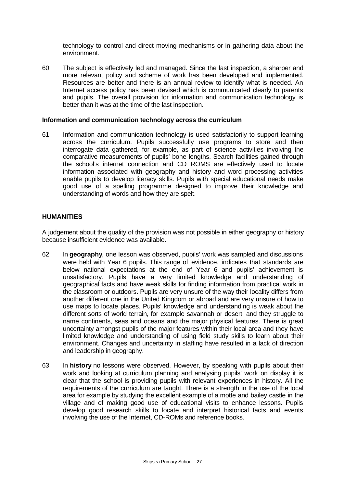technology to control and direct moving mechanisms or in gathering data about the environment.

60 The subject is effectively led and managed. Since the last inspection, a sharper and more relevant policy and scheme of work has been developed and implemented. Resources are better and there is an annual review to identify what is needed. An Internet access policy has been devised which is communicated clearly to parents and pupils. The overall provision for information and communication technology is better than it was at the time of the last inspection.

#### **Information and communication technology across the curriculum**

61 Information and communication technology is used satisfactorily to support learning across the curriculum. Pupils successfully use programs to store and then interrogate data gathered, for example, as part of science activities involving the comparative measurements of pupils' bone lengths. Search facilities gained through the school's internet connection and CD ROMS are effectively used to locate information associated with geography and history and word processing activities enable pupils to develop literacy skills. Pupils with special educational needs make good use of a spelling programme designed to improve their knowledge and understanding of words and how they are spelt.

#### **HUMANITIES**

A judgement about the quality of the provision was not possible in either geography or history because insufficient evidence was available.

- 62 In **geography**, one lesson was observed, pupils' work was sampled and discussions were held with Year 6 pupils. This range of evidence, indicates that standards are below national expectations at the end of Year 6 and pupils' achievement is unsatisfactory. Pupils have a very limited knowledge and understanding of geographical facts and have weak skills for finding information from practical work in the classroom or outdoors. Pupils are very unsure of the way their locality differs from another different one in the United Kingdom or abroad and are very unsure of how to use maps to locate places. Pupils' knowledge and understanding is weak about the different sorts of world terrain, for example savannah or desert, and they struggle to name continents, seas and oceans and the major physical features. There is great uncertainty amongst pupils of the major features within their local area and they have limited knowledge and understanding of using field study skills to learn about their environment. Changes and uncertainty in staffing have resulted in a lack of direction and leadership in geography.
- 63 In **history** no lessons were observed. However, by speaking with pupils about their work and looking at curriculum planning and analysing pupils' work on display it is clear that the school is providing pupils with relevant experiences in history. All the requirements of the curriculum are taught. There is a strength in the use of the local area for example by studying the excellent example of a motte and bailey castle in the village and of making good use of educational visits to enhance lessons. Pupils develop good research skills to locate and interpret historical facts and events involving the use of the Internet, CD-ROMs and reference books.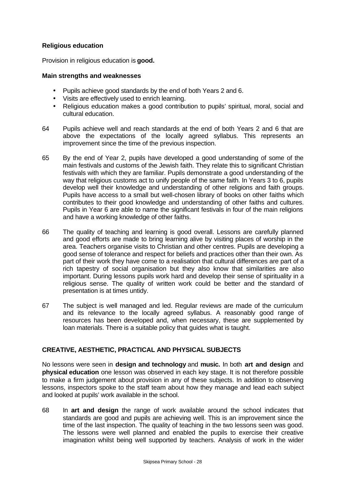## **Religious education**

Provision in religious education is **good.**

#### **Main strengths and weaknesses**

- Pupils achieve good standards by the end of both Years 2 and 6.
- Visits are effectively used to enrich learning.
- Religious education makes a good contribution to pupils' spiritual, moral, social and cultural education.
- 64 Pupils achieve well and reach standards at the end of both Years 2 and 6 that are above the expectations of the locally agreed syllabus. This represents an improvement since the time of the previous inspection.
- 65 By the end of Year 2, pupils have developed a good understanding of some of the main festivals and customs of the Jewish faith. They relate this to significant Christian festivals with which they are familiar. Pupils demonstrate a good understanding of the way that religious customs act to unify people of the same faith. In Years 3 to 6, pupils develop well their knowledge and understanding of other religions and faith groups. Pupils have access to a small but well-chosen library of books on other faiths which contributes to their good knowledge and understanding of other faiths and cultures. Pupils in Year 6 are able to name the significant festivals in four of the main religions and have a working knowledge of other faiths.
- 66 The quality of teaching and learning is good overall. Lessons are carefully planned and good efforts are made to bring learning alive by visiting places of worship in the area. Teachers organise visits to Christian and other centres. Pupils are developing a good sense of tolerance and respect for beliefs and practices other than their own. As part of their work they have come to a realisation that cultural differences are part of a rich tapestry of social organisation but they also know that similarities are also important. During lessons pupils work hard and develop their sense of spirituality in a religious sense. The quality of written work could be better and the standard of presentation is at times untidy.
- 67 The subject is well managed and led. Regular reviews are made of the curriculum and its relevance to the locally agreed syllabus. A reasonably good range of resources has been developed and, when necessary, these are supplemented by loan materials. There is a suitable policy that guides what is taught.

## **CREATIVE, AESTHETIC, PRACTICAL AND PHYSICAL SUBJECTS**

No lessons were seen in **design and technology** and **music.** In both **art and design** and **physical education** one lesson was observed in each key stage. It is not therefore possible to make a firm judgement about provision in any of these subjects. In addition to observing lessons, inspectors spoke to the staff team about how they manage and lead each subject and looked at pupils' work available in the school.

68 In **art and design** the range of work available around the school indicates that standards are good and pupils are achieving well. This is an improvement since the time of the last inspection. The quality of teaching in the two lessons seen was good. The lessons were well planned and enabled the pupils to exercise their creative imagination whilst being well supported by teachers. Analysis of work in the wider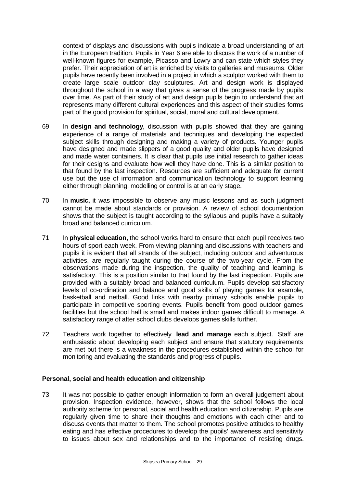context of displays and discussions with pupils indicate a broad understanding of art in the European tradition. Pupils in Year 6 are able to discuss the work of a number of well-known figures for example, Picasso and Lowry and can state which styles they prefer. Their appreciation of art is enriched by visits to galleries and museums. Older pupils have recently been involved in a project in which a sculptor worked with them to create large scale outdoor clay sculptures. Art and design work is displayed throughout the school in a way that gives a sense of the progress made by pupils over time. As part of their study of art and design pupils begin to understand that art represents many different cultural experiences and this aspect of their studies forms part of the good provision for spiritual, social, moral and cultural development.

- 69 In **design and technology**, discussion with pupils showed that they are gaining experience of a range of materials and techniques and developing the expected subject skills through designing and making a variety of products. Younger pupils have designed and made slippers of a good quality and older pupils have designed and made water containers. It is clear that pupils use initial research to gather ideas for their designs and evaluate how well they have done. This is a similar position to that found by the last inspection. Resources are sufficient and adequate for current use but the use of information and communication technology to support learning either through planning, modelling or control is at an early stage.
- 70 In **music,** it was impossible to observe any music lessons and as such judgment cannot be made about standards or provision. A review of school documentation shows that the subject is taught according to the syllabus and pupils have a suitably broad and balanced curriculum.
- 71 In **physical education,** the school works hard to ensure that each pupil receives two hours of sport each week. From viewing planning and discussions with teachers and pupils it is evident that all strands of the subject, including outdoor and adventurous activities, are regularly taught during the course of the two-year cycle. From the observations made during the inspection, the quality of teaching and learning is satisfactory. This is a position similar to that found by the last inspection. Pupils are provided with a suitably broad and balanced curriculum. Pupils develop satisfactory levels of co-ordination and balance and good skills of playing games for example, basketball and netball. Good links with nearby primary schools enable pupils to participate in competitive sporting events. Pupils benefit from good outdoor games facilities but the school hall is small and makes indoor games difficult to manage. A satisfactory range of after school clubs develops games skills further.
- 72 Teachers work together to effectively **lead and manage** each subject. Staff are enthusiastic about developing each subject and ensure that statutory requirements are met but there is a weakness in the procedures established within the school for monitoring and evaluating the standards and progress of pupils.

#### **Personal, social and health education and citizenship**

73 It was not possible to gather enough information to form an overall judgement about provision. Inspection evidence, however, shows that the school follows the local authority scheme for personal, social and health education and citizenship. Pupils are regularly given time to share their thoughts and emotions with each other and to discuss events that matter to them. The school promotes positive attitudes to healthy eating and has effective procedures to develop the pupils' awareness and sensitivity to issues about sex and relationships and to the importance of resisting drugs.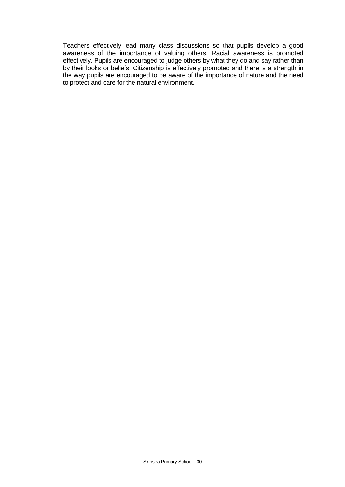Teachers effectively lead many class discussions so that pupils develop a good awareness of the importance of valuing others. Racial awareness is promoted effectively. Pupils are encouraged to judge others by what they do and say rather than by their looks or beliefs. Citizenship is effectively promoted and there is a strength in the way pupils are encouraged to be aware of the importance of nature and the need to protect and care for the natural environment.